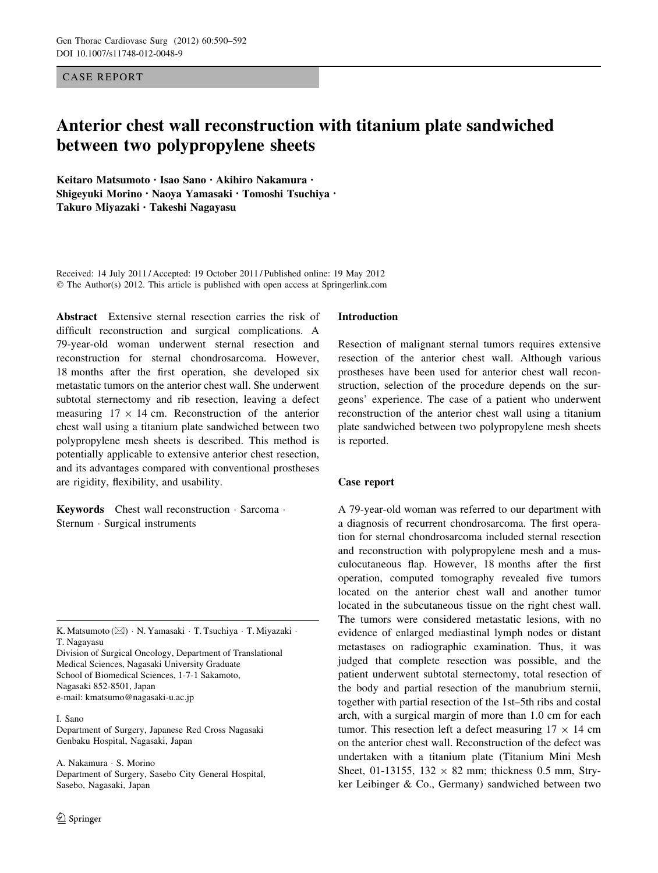CASE REPORT

# Anterior chest wall reconstruction with titanium plate sandwiched between two polypropylene sheets

Keitaro Matsumoto • Isao Sano • Akihiro Nakamura • Shigeyuki Morino • Naoya Yamasaki • Tomoshi Tsuchiya • Takuro Miyazaki • Takeshi Nagayasu

Received: 14 July 2011 / Accepted: 19 October 2011 / Published online: 19 May 2012 © The Author(s) 2012. This article is published with open access at Springerlink.com

Abstract Extensive sternal resection carries the risk of difficult reconstruction and surgical complications. A 79-year-old woman underwent sternal resection and reconstruction for sternal chondrosarcoma. However, 18 months after the first operation, she developed six metastatic tumors on the anterior chest wall. She underwent subtotal sternectomy and rib resection, leaving a defect measuring  $17 \times 14$  cm. Reconstruction of the anterior chest wall using a titanium plate sandwiched between two polypropylene mesh sheets is described. This method is potentially applicable to extensive anterior chest resection, and its advantages compared with conventional prostheses are rigidity, flexibility, and usability.

Keywords Chest wall reconstruction · Sarcoma · Sternum - Surgical instruments

K. Matsumoto ( $\boxtimes$ ) • N. Yamasaki • T. Tsuchiya • T. Miyazaki • T. Nagayasu

Division of Surgical Oncology, Department of Translational Medical Sciences, Nagasaki University Graduate School of Biomedical Sciences, 1-7-1 Sakamoto, Nagasaki 852-8501, Japan e-mail: kmatsumo@nagasaki-u.ac.jp

#### I. Sano

Department of Surgery, Japanese Red Cross Nagasaki Genbaku Hospital, Nagasaki, Japan

A. Nakamura - S. Morino Department of Surgery, Sasebo City General Hospital, Sasebo, Nagasaki, Japan

# Introduction

Resection of malignant sternal tumors requires extensive resection of the anterior chest wall. Although various prostheses have been used for anterior chest wall reconstruction, selection of the procedure depends on the surgeons' experience. The case of a patient who underwent reconstruction of the anterior chest wall using a titanium plate sandwiched between two polypropylene mesh sheets is reported.

# Case report

A 79-year-old woman was referred to our department with a diagnosis of recurrent chondrosarcoma. The first operation for sternal chondrosarcoma included sternal resection and reconstruction with polypropylene mesh and a musculocutaneous flap. However, 18 months after the first operation, computed tomography revealed five tumors located on the anterior chest wall and another tumor located in the subcutaneous tissue on the right chest wall. The tumors were considered metastatic lesions, with no evidence of enlarged mediastinal lymph nodes or distant metastases on radiographic examination. Thus, it was judged that complete resection was possible, and the patient underwent subtotal sternectomy, total resection of the body and partial resection of the manubrium sternii, together with partial resection of the 1st–5th ribs and costal arch, with a surgical margin of more than 1.0 cm for each tumor. This resection left a defect measuring  $17 \times 14$  cm on the anterior chest wall. Reconstruction of the defect was undertaken with a titanium plate (Titanium Mini Mesh Sheet, 01-13155, 132  $\times$  82 mm; thickness 0.5 mm, Stryker Leibinger & Co., Germany) sandwiched between two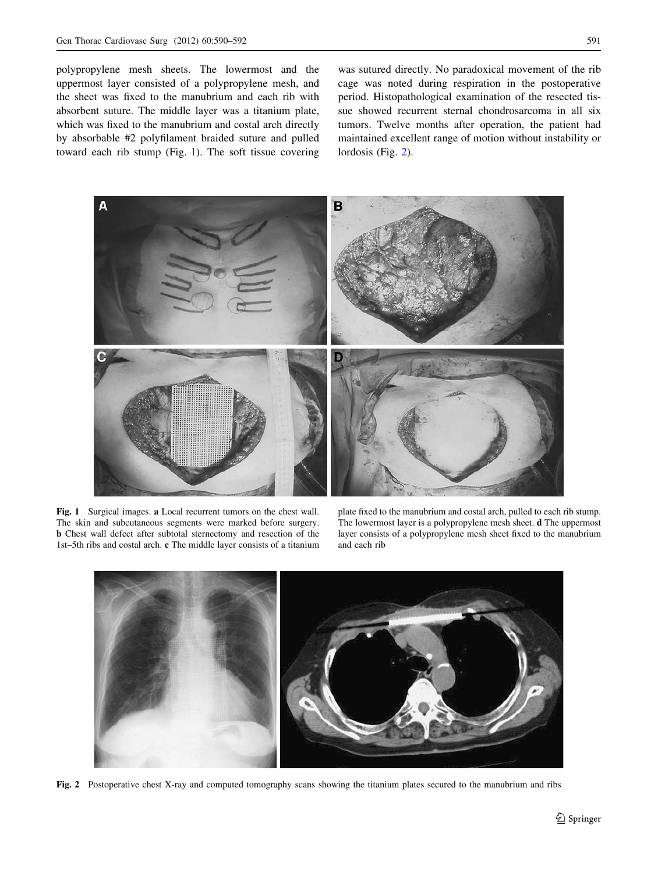polypropylene mesh sheets. The lowermost and the uppermost layer consisted of a polypropylene mesh, and the sheet was fixed to the manubrium and each rib with absorbent suture. The middle layer was a titanium plate, which was fixed to the manubrium and costal arch directly by absorbable #2 polyfilament braided suture and pulled toward each rib stump (Fig. 1). The soft tissue covering was sutured directly. No paradoxical movement of the rib cage was noted during respiration in the postoperative period. Histopathological examination of the resected tissue showed recurrent sternal chondrosarcoma in all six tumors. Twelve months after operation, the patient had maintained excellent range of motion without instability or lordosis (Fig. 2).



Fig. 1 Surgical images. a Local recurrent tumors on the chest wall. The skin and subcutaneous segments were marked before surgery. b Chest wall defect after subtotal sternectomy and resection of the 1st–5th ribs and costal arch. c The middle layer consists of a titanium

plate fixed to the manubrium and costal arch, pulled to each rib stump. The lowermost layer is a polypropylene mesh sheet. d The uppermost layer consists of a polypropylene mesh sheet fixed to the manubrium and each rib



Fig. 2 Postoperative chest X-ray and computed tomography scans showing the titanium plates secured to the manubrium and ribs